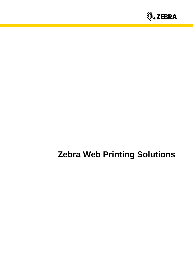

# **Zebra Web Printing Solutions**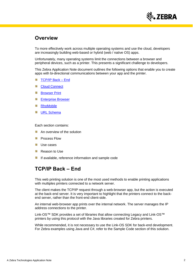

## **Overview**

To more effectively work across multiple operating systems and use the cloud, developers are increasingly building web-based or hybrid (web / native OS) apps.

Unfortunately, many operating systems limit the connections between a browser and peripheral devices, such as a printer. This presents a significant challenge to developers.

This Zebra Application Note document outlines the following options that enable you to create apps with bi-directional communications between your app and the printer.

- 镪 [TCP/IP](#page-1-0) Back – End
- SSR. [Cloud Connect](#page-3-0)
- Sila [Browser Print](#page-5-0)
- 颁 [Enterprise Browser](#page-6-0)
- 蓪 **[RhoMobile](#page-7-0)**
- 52 [URL Schema](#page-8-0)

Each section contains:

- 镪 An overview of the solution
- Process Flow Side -
- Sila Use cases
- State of Reason to Use
- Sila If available, reference information and sample code

## <span id="page-1-0"></span>**TCP/IP Back – End**

This web printing solution is one of the most used methods to enable printing applications with multiples printers connected to a network server.

The client makes the TCP/IP request through a web-browser app, but the action is executed at the back-end server. It is very important to highlight that the printers connect to the backend server, rather than the front-end client-side.

An internal web-browser app prints over the internal network. The server manages the IP address connections to the printer.

Link-OS™ SDK provides a set of libraries that allow connecting Legacy and Link-OS™ printers by using this protocol with the Java libraries created for Zebra printers.

While recommended, it is not necessary to use the Link-OS SDK for back-end development. For Zebra examples using Java and C#, refer to the Sample Code section of this solution.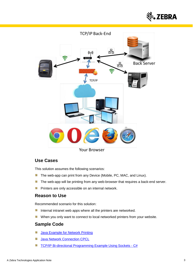



**Your Browser** 

### **Use Cases**

This solution assumes the following scenarios:

- The web-app can print from any Device (Mobile, PC, MAC, and Linux). 簿
- 簿 The web-app will be printing from any web-browser that requires a back-end server.
- ă. Printers are only accessible on an internal network.

#### **Reason to Use**

Recommended scenario for this solution:

- 簿 Internal intranet web apps where all the printers are networked.
- When you only want to connect to local networked printers from your website. 鬣

#### **Sample Code**

- [Java Example for Network Printing](https://km.zebra.com/kb/index?page=content&id=SO7149) 馐
- 镪 **[Java Network Connection CPCL](https://km.zebra.com/kb/index?page=content&id=SA284)**
- 鬣 [TCP/IP Bi-directional Programming Example Using Sockets -](https://km.zebra.com/kb/index?page=content&id=SA140) C#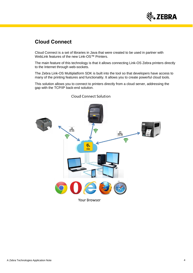

## <span id="page-3-0"></span>**Cloud Connect**

Cloud Connect is a set of libraries in Java that were created to be used in partner with WebLink features of the new Link-OS™ Printers.

The main feature of this technology is that it allows connecting Link-OS Zebra printers directly to the Internet through web-sockets.

The Zebra Link-OS Multiplatform SDK is built into the tool so that developers have access to many of the printing features and functionality. It allows you to create powerful cloud tools.

This solution allows you to connect to printers directly from a cloud server, addressing the gap with the TCP/IP back-end solution.



**Cloud Connect Solution**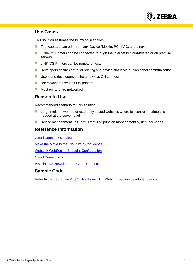

#### **Use Cases**

This solution assumes the following scenarios:

- 薀 The web-app can print from any Device (Mobile, PC, MAC, and Linux).
- Sila LINK-OS Printers can be connected through the Internet to cloud-hosted or on premise servers.
- LINK-OS Printers can be remote or local. Sila
- Sila Developers desire control of printing and device status via bi-directional communication.
- Side Users and developers desire an always ON connection.
- 簿 Users want to use Link-OS printers.
- Sila Most printers are networked

#### **Reason to Use**

Recommended scenario for this solution:

- 58 Large multi-networked or externally hosted websites where full control of printers is needed at the server level.
- Device management, IoT, or full featured print job management system scenarios. Sila

#### **Reference Information**

[Cloud Connect Overview](https://www.zebra.com/us/en/products/software/barcode-printers/link-os/cloud-connect.html)

[Make the Move to the Cloud with Confidence](https://www.zebra.com/content/dam/zebra/white-papers/en-us/cloud-connect-en-us.pdf)

[WebLink WebSocket Endpoint Configuration](https://km.zebra.com/kb/index?page=content&id=WH130)

**[Cloud Connectivity](https://developer.zebra.com/community/technologies/printers/label-printers/blog/2013/07/30/cloud-connectivity)** 

[ISV Link-OS Newsletter 4 -](https://km.zebra.com/kb/index?page=content&id=WH112) Cloud Connect

#### **Sample Code**

Refer to the [Zebra Link-OS Multiplatform SDK](https://www.zebra.com/us/en/products/software/barcode-printers/link-os/link-os-sdk.html) WebLink section developer demos.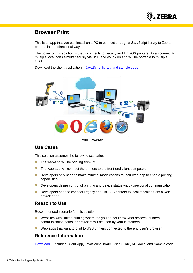

## <span id="page-5-0"></span>**Browser Print**

This is an app that you can install on a PC to connect through a JavaScript library to Zebra printers in a bi-directional way.

The power of this solution is that it connects to Legacy and Link-OS printers. It can connect to multiple local ports simultaneously via USB and your web app will be portable to multiple OS's.

Download the client application – [JavaScript library and sample code.](https://www.zebra.com/us/en/products/software/barcode-printers/link-os/browser-print.html)



**Your Browser** 

#### **Use Cases**

This solution assumes the following scenarios:

- 嶺 The web-app will be printing from PC.
- SB. The web-app will connect the printers to the front-end client computer.
- Developers only need to make minimal modifications to their web-app to enable printing Sila capabilities.
- Side. Developers desire control of printing and device status via bi-directional communication.
- 鬣 Developers need to connect Legacy and Link-OS printers to local machine from a webbrowser app.

#### **Reason to Use**

Recommended scenario for this solution:

- 蓪 Websites with limited printing where the you do not know what devices, printers, communication paths, or browsers will be used by your customers.
- 蓪 Web apps that want to print to USB printers connected to the end user's browser.

#### **Reference Information**

[Download](https://www.zebra.com/us/en/products/software/barcode-printers/link-os/browser-print.html) – Includes Client App, JavaScript library, User Guide, API docs, and Sample code.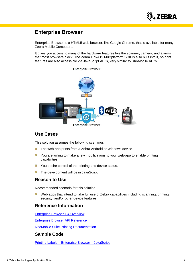

## <span id="page-6-0"></span>**Enterprise Browser**

Enterprise Browser is a HTML5 web browser, like Google Chrome, that is available for many Zebra Mobile Computers.

It gives you access to many of the hardware features like the scanner, camera, and alarms that most browsers block. The Zebra Link-OS Multiplatform SDK is also built into it, so print features are also accessible via JavaScript API's, very similar to RhoMobile API's.

#### **Enterprise Browser**



#### **Use Cases**

This solution assumes the following scenarios:

- 蓪 The web-app prints from a Zebra Android or Windows device.
- 铴 You are willing to make a few modifications to your web-app to enable printing capabilities.
- 59 You desire control of the printing and device status.
- 鬣 The development will be in JavaScript.

#### **Reason to Use**

Recommended scenario for this solution:

SB. Web apps that intend to take full use of Zebra capabilities including scanning, printing, security, and/or other device features.

#### **Reference Information**

[Enterprise Browser 1.4 Overview](https://developer.zebra.com/docs/DOC-2566)

[Enterprise Browser API Reference](https://developer.zebra.com/community/technologies/enterprisebrowser/apis)

[RhoMobile Suite Printing Documentation](http://docs.rhomobile.com/en/5.3.2/guide/printing)

#### **Sample Code**

Printing Labels – [Enterprise Browser –](https://km.zebra.com/kb/index?page=content&id=SA382) JavaScript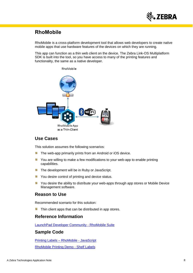

## <span id="page-7-0"></span>**RhoMobile**

RhoMobile is a cross-platform development tool that allows web developers to create native mobile apps that use hardware features of the devices on which they are running.

This app can function as a thin web client on the device. The Zebra Link-OS Multiplatform SDK is built into the tool, so you have access to many of the printing features and functionality, the same as a native developer.



#### **Use Cases**

This solution assumes the following scenarios:

- **The web-app primarily prints from an Android or iOS device.**
- **X** You are willing to make a few modifications to your web-app to enable printing capabilities.
- Side. The development will be in Ruby or JavaScript.
- SB. You desire control of printing and device status.
- Sille. You desire the ability to distribute your web-apps through app stores or Mobile Device Management software.

#### **Reason to Use**

Recommended scenario for this solution:

蓪 Thin client apps that can be distributed in app stores.

#### **Reference Information**

[LaunchPad Developer Community -](https://developer.zebra.com/community/rhomobile-suite/about) RhoMobile Suite

#### **Sample Code**

[Printing Labels –](https://km.zebra.com/kb/index?page=content&id=SA381) RhoMobile - JavaScript

[RhoMobile Printing Demo -](https://developer.zebra.com/docs/DOC-2382) Shelf Labels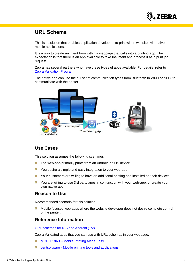

## <span id="page-8-0"></span>**URL Schema**

This is a solution that enables application developers to print within websites via native mobile applications.

It is a way to create an intent from within a webpage that calls into a printing app. The expectation is that there is an app available to take the intent and process it as a print job request.

Zebra has several partners who have these types of apps available. For details, refer to [Zebra Validation Program](https://www.zebra.com/us/en/partners/partnersfirst-partners/become-a-partner/isv/validation-program.html#mainpartabscontainer_a18b=general) .

The native app can use the full set of communication types from Bluetooth to Wi-Fi or NFC, to communicate with the printer.



#### **Use Cases**

This solution assumes the following scenarios:

- 遽 The web-app primarily prints from an Android or iOS device.
- 镪 You desire a simple and easy integration to your web-app.
- Sab Your customers are willing to have an additional printing app installed on their devices.
- 涵 You are willing to use 3rd party apps in conjunction with your web-app, or create your own native app.

#### **Reason to Use**

Recommended scenario for this solution:

镪 Mobile focused web apps where the website developer does not desire complete control of the printer.

#### **Reference Information**

[URL schemes for iOS and Android \(1/2\)](http://fokkezb.nl/2013/08/26/url-schemes-for-ios-and-android-1/)

Zebra Validated apps that you can use with URL schemas in your webpage:

- SB MOBI PRINT - [Mobile Printing Made Easy](http://mobiprintapp.com/)
- S centsoftware - [Mobile printing tools and applications](http://www.centsoftware.com/)